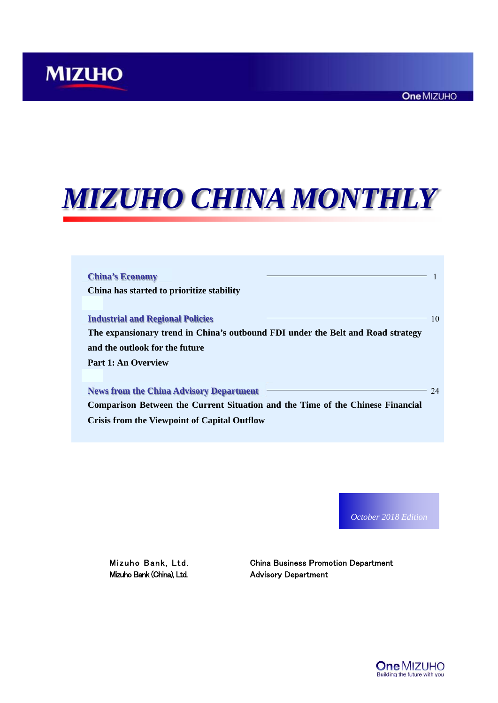# *MIZUHO CHINA MONTHLY*

| <b>China's Economy</b>                                                                                                                                                                         |    |
|------------------------------------------------------------------------------------------------------------------------------------------------------------------------------------------------|----|
| China has started to prioritize stability                                                                                                                                                      |    |
| <b>Industrial and Regional Policies</b><br>The expansionary trend in China's outbound FDI under the Belt and Road strategy<br>and the outlook for the future                                   | 10 |
| Part 1: An Overview                                                                                                                                                                            |    |
| <b>News from the China Advisory Department</b><br><b>Comparison Between the Current Situation and the Time of the Chinese Financial</b><br><b>Crisis from the Viewpoint of Capital Outflow</b> | 24 |

*October 2018 Edition*

Mizuho Bank (China), Ltd. Advisory Department

Mizuho Bank, Ltd. China Business Promotion Department

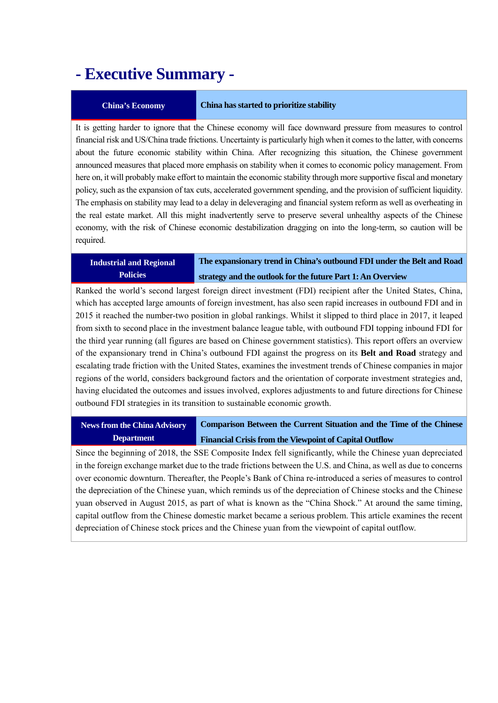### **- Executive Summary -**

#### **China's Economy China has started to prioritize stability**

It is getting harder to ignore that the Chinese economy will face downward pressure from measures to control financial risk and US/China trade frictions. Uncertainty is particularly high when it comes to the latter, with concerns about the future economic stability within China. After recognizing this situation, the Chinese government announced measures that placed more emphasis on stability when it comes to economic policy management. From here on, it will probably make effort to maintain the economic stability through more supportive fiscal and monetary policy, such as the expansion of tax cuts, accelerated government spending, and the provision of sufficient liquidity. The emphasis on stability may lead to a delay in deleveraging and financial system reform as well as overheating in the real estate market. All this might inadvertently serve to preserve several unhealthy aspects of the Chinese economy, with the risk of Chinese economic destabilization dragging on into the long-term, so caution will be required.

#### **Industrial and Regional Policies**

**The expansionary trend in China's outbound FDI under the Belt and Road strategy and the outlook for the future Part 1: An Overview** 

Ranked the world's second largest foreign direct investment (FDI) recipient after the United States, China, which has accepted large amounts of foreign investment, has also seen rapid increases in outbound FDI and in 2015 it reached the number-two position in global rankings. Whilst it slipped to third place in 2017, it leaped from sixth to second place in the investment balance league table, with outbound FDI topping inbound FDI for the third year running (all figures are based on Chinese government statistics). This report offers an overview of the expansionary trend in China's outbound FDI against the progress on its **Belt and Road** strategy and escalating trade friction with the United States, examines the investment trends of Chinese companies in major regions of the world, considers background factors and the orientation of corporate investment strategies and, having elucidated the outcomes and issues involved, explores adjustments to and future directions for Chinese outbound FDI strategies in its transition to sustainable economic growth.

**News from the China Advisory Department Comparison Between the Current Situation and the Time of the Chinese Financial Crisis from the Viewpoint of Capital Outflow** 

Since the beginning of 2018, the SSE Composite Index fell significantly, while the Chinese yuan depreciated in the foreign exchange market due to the trade frictions between the U.S. and China, as well as due to concerns over economic downturn. Thereafter, the People's Bank of China re-introduced a series of measures to control the depreciation of the Chinese yuan, which reminds us of the depreciation of Chinese stocks and the Chinese yuan observed in August 2015, as part of what is known as the "China Shock." At around the same timing, capital outflow from the Chinese domestic market became a serious problem. This article examines the recent depreciation of Chinese stock prices and the Chinese yuan from the viewpoint of capital outflow.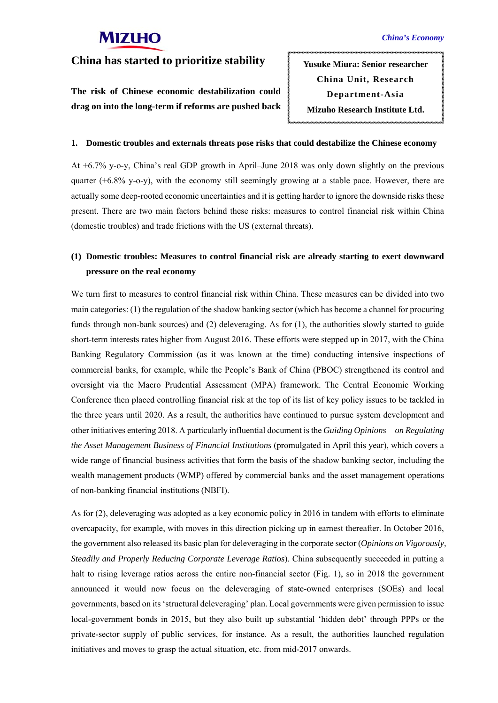#### **China has started to prioritize stability**

**The risk of Chinese economic destabilization could drag on into the long-term if reforms are pushed back** 

**Yusuke Miura: Senior researcher China Unit, Research Department-Asia Mizuho Research Institute Ltd.** 

#### **1. Domestic troubles and externals threats pose risks that could destabilize the Chinese economy**

At +6.7% y-o-y, China's real GDP growth in April–June 2018 was only down slightly on the previous quarter  $(+6.8\%$  y-o-y), with the economy still seemingly growing at a stable pace. However, there are actually some deep-rooted economic uncertainties and it is getting harder to ignore the downside risks these present. There are two main factors behind these risks: measures to control financial risk within China (domestic troubles) and trade frictions with the US (external threats).

#### **(1) Domestic troubles: Measures to control financial risk are already starting to exert downward pressure on the real economy**

We turn first to measures to control financial risk within China. These measures can be divided into two main categories: (1) the regulation of the shadow banking sector (which has become a channel for procuring funds through non-bank sources) and (2) deleveraging. As for (1), the authorities slowly started to guide short-term interests rates higher from August 2016. These efforts were stepped up in 2017, with the China Banking Regulatory Commission (as it was known at the time) conducting intensive inspections of commercial banks, for example, while the People's Bank of China (PBOC) strengthened its control and oversight via the Macro Prudential Assessment (MPA) framework. The Central Economic Working Conference then placed controlling financial risk at the top of its list of key policy issues to be tackled in the three years until 2020. As a result, the authorities have continued to pursue system development and other initiatives entering 2018. A particularly influential document is the *Guiding Opinions on Regulating the Asset Management Business of Financial Institutions* (promulgated in April this year), which covers a wide range of financial business activities that form the basis of the shadow banking sector, including the wealth management products (WMP) offered by commercial banks and the asset management operations of non-banking financial institutions (NBFI).

As for (2), deleveraging was adopted as a key economic policy in 2016 in tandem with efforts to eliminate overcapacity, for example, with moves in this direction picking up in earnest thereafter. In October 2016, the government also released its basic plan for deleveraging in the corporate sector (*Opinions on Vigorously, Steadily and Properly Reducing Corporate Leverage Ratios*). China subsequently succeeded in putting a halt to rising leverage ratios across the entire non-financial sector (Fig. 1), so in 2018 the government announced it would now focus on the deleveraging of state-owned enterprises (SOEs) and local governments, based on its 'structural deleveraging' plan. Local governments were given permission to issue local-government bonds in 2015, but they also built up substantial 'hidden debt' through PPPs or the private-sector supply of public services, for instance. As a result, the authorities launched regulation initiatives and moves to grasp the actual situation, etc. from mid-2017 onwards.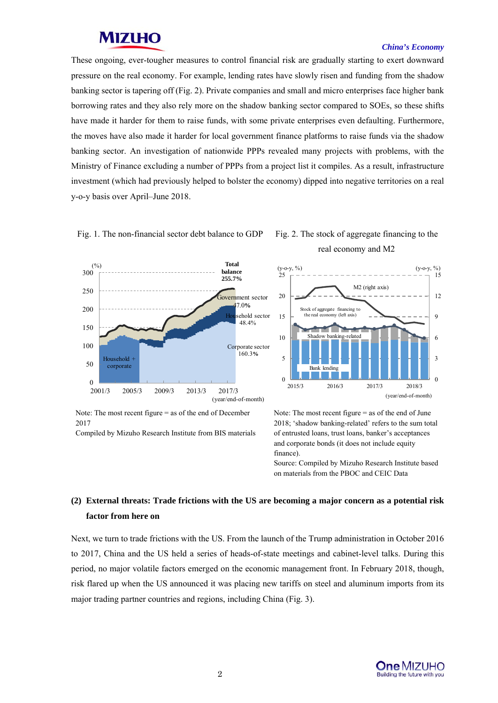#### *China's Economy*

These ongoing, ever-tougher measures to control financial risk are gradually starting to exert downward pressure on the real economy. For example, lending rates have slowly risen and funding from the shadow banking sector is tapering off (Fig. 2). Private companies and small and micro enterprises face higher bank borrowing rates and they also rely more on the shadow banking sector compared to SOEs, so these shifts have made it harder for them to raise funds, with some private enterprises even defaulting. Furthermore, the moves have also made it harder for local government finance platforms to raise funds via the shadow banking sector. An investigation of nationwide PPPs revealed many projects with problems, with the Ministry of Finance excluding a number of PPPs from a project list it compiles. As a result, infrastructure investment (which had previously helped to bolster the economy) dipped into negative territories on a real y-o-y basis over April–June 2018.





## real economy and M2



Note: The most recent figure = as of the end of December 2017

Compiled by Mizuho Research Institute from BIS materials

Note: The most recent figure = as of the end of June 2018; 'shadow banking-related' refers to the sum total of entrusted loans, trust loans, banker's acceptances and corporate bonds (it does not include equity finance).

Source: Compiled by Mizuho Research Institute based on materials from the PBOC and CEIC Data

#### **(2) External threats: Trade frictions with the US are becoming a major concern as a potential risk factor from here on**

Next, we turn to trade frictions with the US. From the launch of the Trump administration in October 2016 to 2017, China and the US held a series of heads-of-state meetings and cabinet-level talks. During this period, no major volatile factors emerged on the economic management front. In February 2018, though, risk flared up when the US announced it was placing new tariffs on steel and aluminum imports from its major trading partner countries and regions, including China (Fig. 3).

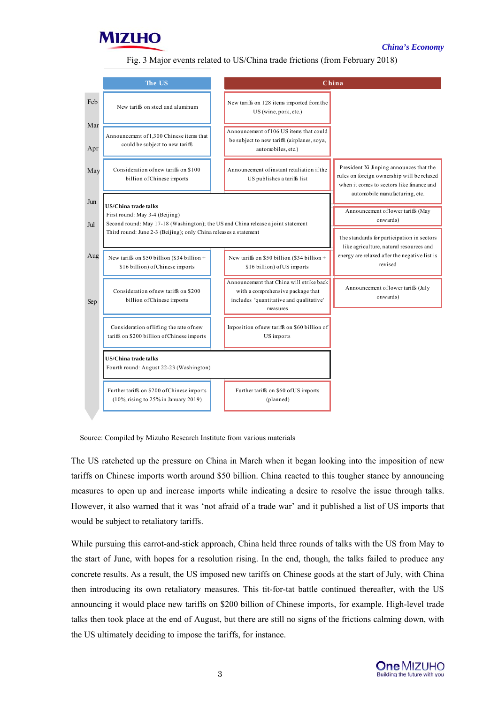

#### *China's Economy*

#### Fig. 3 Major events related to US/China trade frictions (from February 2018)

|            | The US                                                                                                                                               |  |                                                                                                                                      | China                                                                                                                              |  |
|------------|------------------------------------------------------------------------------------------------------------------------------------------------------|--|--------------------------------------------------------------------------------------------------------------------------------------|------------------------------------------------------------------------------------------------------------------------------------|--|
| Feb        | New tariffs on steel and aluminum                                                                                                                    |  | New tariffs on 128 items imported from the<br>US (wine, pork, etc.)                                                                  |                                                                                                                                    |  |
| Mar<br>Apr | Announcement of 1,300 Chinese items that<br>could be subject to new tariffs                                                                          |  | Announcement of 106 US items that could<br>be subject to new tariffs (airplanes, soya,<br>automobiles, etc.)                         |                                                                                                                                    |  |
| May        | Consideration of new tariffs on \$100<br>billion of Chinese imports                                                                                  |  | Announcement of instant retaliation if the<br>US publishes a tariffs list                                                            | President Xi Jinping announces that the<br>rules on foreign ownership will be relaxed<br>when it comes to sectors like finance and |  |
| Jun        | <b>US/China trade talks</b>                                                                                                                          |  |                                                                                                                                      | automobile manufacturing, etc.                                                                                                     |  |
|            | First round: May 3-4 (Beijing)                                                                                                                       |  |                                                                                                                                      | Announcement of lower tariffs (May<br>onwards)                                                                                     |  |
| Jul        | Second round: May 17-18 (Washington); the US and China release a joint statement<br>Third round: June 2-3 (Beijing); only China releases a statement |  |                                                                                                                                      |                                                                                                                                    |  |
|            |                                                                                                                                                      |  |                                                                                                                                      | The standards for participation in sectors<br>like agriculture, natural resources and                                              |  |
| Aug        | New tariffs on \$50 billion (\$34 billion +<br>\$16 billion) of Chinese imports                                                                      |  | New tariffs on \$50 billion (\$34 billion +<br>\$16 billion) of US imports                                                           | energy are relaxed after the negative list is<br>revised                                                                           |  |
| Sep        | Consideration of new tariffs on \$200<br>billion of Chinese imports                                                                                  |  | Announcement that China will strike back<br>with a comprehensive package that<br>includes 'quantitative and qualitative'<br>measures | Announcement of lower tariffs (July<br>onwards)                                                                                    |  |
|            | Consideration of lifting the rate of new<br>tariffs on \$200 billion of Chinese imports                                                              |  | Imposition of new tariffs on \$60 billion of<br>US imports                                                                           |                                                                                                                                    |  |
|            | <b>US/China trade talks</b><br>Fourth round: August 22-23 (Washington)                                                                               |  |                                                                                                                                      |                                                                                                                                    |  |
|            | Further tariffs on \$200 of Chinese imports<br>$(10\%$ , rising to 25% in January 2019)                                                              |  | Further tariffs on \$60 of US imports<br>(planned)                                                                                   |                                                                                                                                    |  |
|            |                                                                                                                                                      |  |                                                                                                                                      |                                                                                                                                    |  |

Source: Compiled by Mizuho Research Institute from various materials

The US ratcheted up the pressure on China in March when it began looking into the imposition of new tariffs on Chinese imports worth around \$50 billion. China reacted to this tougher stance by announcing measures to open up and increase imports while indicating a desire to resolve the issue through talks. However, it also warned that it was 'not afraid of a trade war' and it published a list of US imports that would be subject to retaliatory tariffs.

While pursuing this carrot-and-stick approach, China held three rounds of talks with the US from May to the start of June, with hopes for a resolution rising. In the end, though, the talks failed to produce any concrete results. As a result, the US imposed new tariffs on Chinese goods at the start of July, with China then introducing its own retaliatory measures. This tit-for-tat battle continued thereafter, with the US announcing it would place new tariffs on \$200 billion of Chinese imports, for example. High-level trade talks then took place at the end of August, but there are still no signs of the frictions calming down, with the US ultimately deciding to impose the tariffs, for instance.

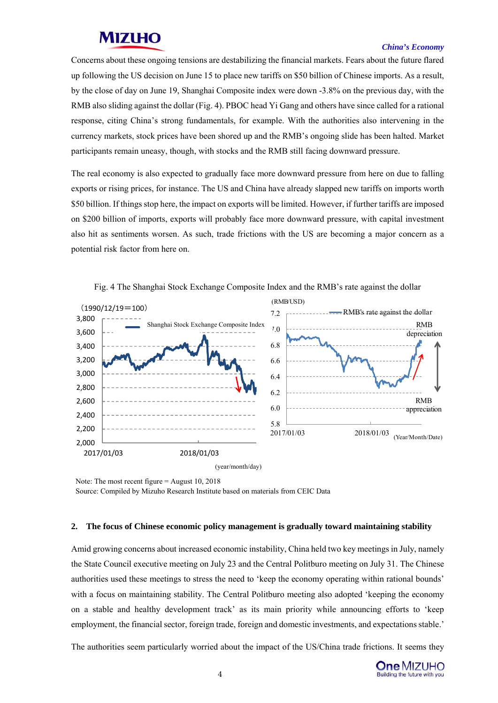#### *China's Economy*

Concerns about these ongoing tensions are destabilizing the financial markets. Fears about the future flared up following the US decision on June 15 to place new tariffs on \$50 billion of Chinese imports. As a result, by the close of day on June 19, Shanghai Composite index were down -3.8% on the previous day, with the RMB also sliding against the dollar (Fig. 4). PBOC head Yi Gang and others have since called for a rational response, citing China's strong fundamentals, for example. With the authorities also intervening in the currency markets, stock prices have been shored up and the RMB's ongoing slide has been halted. Market participants remain uneasy, though, with stocks and the RMB still facing downward pressure.

The real economy is also expected to gradually face more downward pressure from here on due to falling exports or rising prices, for instance. The US and China have already slapped new tariffs on imports worth \$50 billion. If things stop here, the impact on exports will be limited. However, if further tariffs are imposed on \$200 billion of imports, exports will probably face more downward pressure, with capital investment also hit as sentiments worsen. As such, trade frictions with the US are becoming a major concern as a potential risk factor from here on.



Fig. 4 The Shanghai Stock Exchange Composite Index and the RMB's rate against the dollar

Note: The most recent figure = August 10, 2018 Source: Compiled by Mizuho Research Institute based on materials from CEIC Data

#### **2. The focus of Chinese economic policy management is gradually toward maintaining stability**

Amid growing concerns about increased economic instability, China held two key meetings in July, namely the State Council executive meeting on July 23 and the Central Politburo meeting on July 31. The Chinese authorities used these meetings to stress the need to 'keep the economy operating within rational bounds' with a focus on maintaining stability. The Central Politburo meeting also adopted 'keeping the economy on a stable and healthy development track' as its main priority while announcing efforts to 'keep employment, the financial sector, foreign trade, foreign and domestic investments, and expectations stable.'

The authorities seem particularly worried about the impact of the US/China trade frictions. It seems they

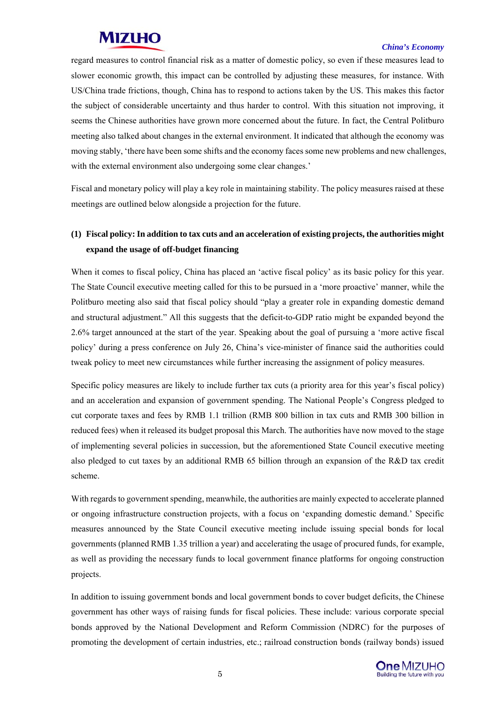#### *China's Economy*

regard measures to control financial risk as a matter of domestic policy, so even if these measures lead to slower economic growth, this impact can be controlled by adjusting these measures, for instance. With US/China trade frictions, though, China has to respond to actions taken by the US. This makes this factor the subject of considerable uncertainty and thus harder to control. With this situation not improving, it seems the Chinese authorities have grown more concerned about the future. In fact, the Central Politburo meeting also talked about changes in the external environment. It indicated that although the economy was moving stably, 'there have been some shifts and the economy faces some new problems and new challenges, with the external environment also undergoing some clear changes.'

Fiscal and monetary policy will play a key role in maintaining stability. The policy measures raised at these meetings are outlined below alongside a projection for the future.

#### **(1) Fiscal policy: In addition to tax cuts and an acceleration of existing projects, the authorities might expand the usage of off-budget financing**

When it comes to fiscal policy, China has placed an 'active fiscal policy' as its basic policy for this year. The State Council executive meeting called for this to be pursued in a 'more proactive' manner, while the Politburo meeting also said that fiscal policy should "play a greater role in expanding domestic demand and structural adjustment." All this suggests that the deficit-to-GDP ratio might be expanded beyond the 2.6% target announced at the start of the year. Speaking about the goal of pursuing a 'more active fiscal policy' during a press conference on July 26, China's vice-minister of finance said the authorities could tweak policy to meet new circumstances while further increasing the assignment of policy measures.

Specific policy measures are likely to include further tax cuts (a priority area for this year's fiscal policy) and an acceleration and expansion of government spending. The National People's Congress pledged to cut corporate taxes and fees by RMB 1.1 trillion (RMB 800 billion in tax cuts and RMB 300 billion in reduced fees) when it released its budget proposal this March. The authorities have now moved to the stage of implementing several policies in succession, but the aforementioned State Council executive meeting also pledged to cut taxes by an additional RMB 65 billion through an expansion of the R&D tax credit scheme.

With regards to government spending, meanwhile, the authorities are mainly expected to accelerate planned or ongoing infrastructure construction projects, with a focus on 'expanding domestic demand.' Specific measures announced by the State Council executive meeting include issuing special bonds for local governments (planned RMB 1.35 trillion a year) and accelerating the usage of procured funds, for example, as well as providing the necessary funds to local government finance platforms for ongoing construction projects.

In addition to issuing government bonds and local government bonds to cover budget deficits, the Chinese government has other ways of raising funds for fiscal policies. These include: various corporate special bonds approved by the National Development and Reform Commission (NDRC) for the purposes of promoting the development of certain industries, etc.; railroad construction bonds (railway bonds) issued

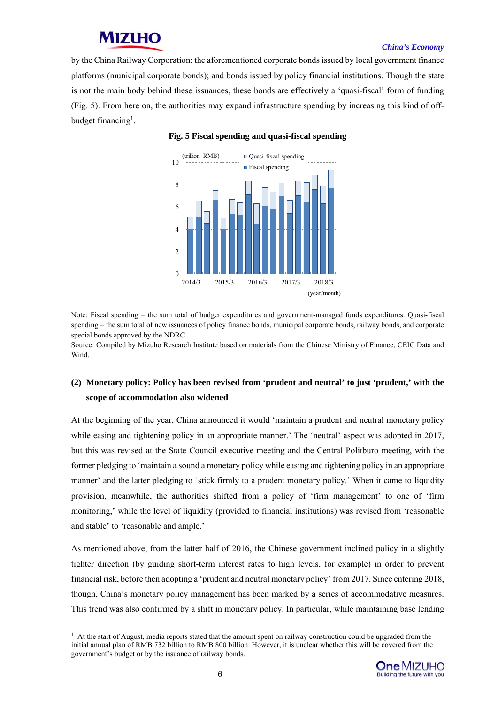#### *China's Economy*

by the China Railway Corporation; the aforementioned corporate bonds issued by local government finance platforms (municipal corporate bonds); and bonds issued by policy financial institutions. Though the state is not the main body behind these issuances, these bonds are effectively a 'quasi-fiscal' form of funding (Fig. 5). From here on, the authorities may expand infrastructure spending by increasing this kind of offbudget financing<sup>1</sup>.



#### **Fig. 5 Fiscal spending and quasi-fiscal spending**

Note: Fiscal spending = the sum total of budget expenditures and government-managed funds expenditures. Quasi-fiscal spending = the sum total of new issuances of policy finance bonds, municipal corporate bonds, railway bonds, and corporate special bonds approved by the NDRC.

Source: Compiled by Mizuho Research Institute based on materials from the Chinese Ministry of Finance, CEIC Data and Wind.

#### **(2) Monetary policy: Policy has been revised from 'prudent and neutral' to just 'prudent,' with the scope of accommodation also widened**

At the beginning of the year, China announced it would 'maintain a prudent and neutral monetary policy while easing and tightening policy in an appropriate manner.' The 'neutral' aspect was adopted in 2017, but this was revised at the State Council executive meeting and the Central Politburo meeting, with the former pledging to 'maintain a sound a monetary policy while easing and tightening policy in an appropriate manner' and the latter pledging to 'stick firmly to a prudent monetary policy.' When it came to liquidity provision, meanwhile, the authorities shifted from a policy of 'firm management' to one of 'firm monitoring,' while the level of liquidity (provided to financial institutions) was revised from 'reasonable and stable' to 'reasonable and ample.'

As mentioned above, from the latter half of 2016, the Chinese government inclined policy in a slightly tighter direction (by guiding short-term interest rates to high levels, for example) in order to prevent financial risk, before then adopting a 'prudent and neutral monetary policy' from 2017. Since entering 2018, though, China's monetary policy management has been marked by a series of accommodative measures. This trend was also confirmed by a shift in monetary policy. In particular, while maintaining base lending

 $<sup>1</sup>$  At the start of August, media reports stated that the amount spent on railway construction could be upgraded from the</sup> initial annual plan of RMB 732 billion to RMB 800 billion. However, it is unclear whether this will be covered from the government's budget or by the issuance of railway bonds.



-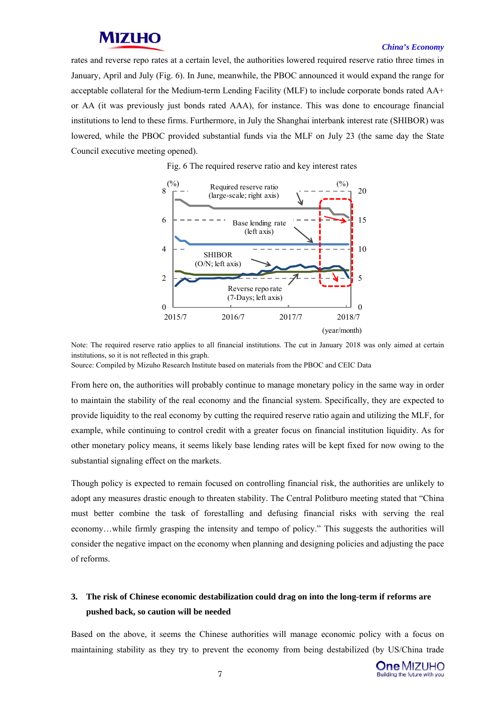#### *China's Economy*

rates and reverse repo rates at a certain level, the authorities lowered required reserve ratio three times in January, April and July (Fig. 6). In June, meanwhile, the PBOC announced it would expand the range for acceptable collateral for the Medium-term Lending Facility (MLF) to include corporate bonds rated AA+ or AA (it was previously just bonds rated AAA), for instance. This was done to encourage financial institutions to lend to these firms. Furthermore, in July the Shanghai interbank interest rate (SHIBOR) was lowered, while the PBOC provided substantial funds via the MLF on July 23 (the same day the State Council executive meeting opened).

Fig. 6 The required reserve ratio and key interest rates



Note: The required reserve ratio applies to all financial institutions. The cut in January 2018 was only aimed at certain institutions, so it is not reflected in this graph.

Source: Compiled by Mizuho Research Institute based on materials from the PBOC and CEIC Data

From here on, the authorities will probably continue to manage monetary policy in the same way in order to maintain the stability of the real economy and the financial system. Specifically, they are expected to provide liquidity to the real economy by cutting the required reserve ratio again and utilizing the MLF, for example, while continuing to control credit with a greater focus on financial institution liquidity. As for other monetary policy means, it seems likely base lending rates will be kept fixed for now owing to the substantial signaling effect on the markets.

Though policy is expected to remain focused on controlling financial risk, the authorities are unlikely to adopt any measures drastic enough to threaten stability. The Central Politburo meeting stated that "China must better combine the task of forestalling and defusing financial risks with serving the real economy…while firmly grasping the intensity and tempo of policy." This suggests the authorities will consider the negative impact on the economy when planning and designing policies and adjusting the pace of reforms.

#### **3. The risk of Chinese economic destabilization could drag on into the long-term if reforms are pushed back, so caution will be needed**

Based on the above, it seems the Chinese authorities will manage economic policy with a focus on maintaining stability as they try to prevent the economy from being destabilized (by US/China trade

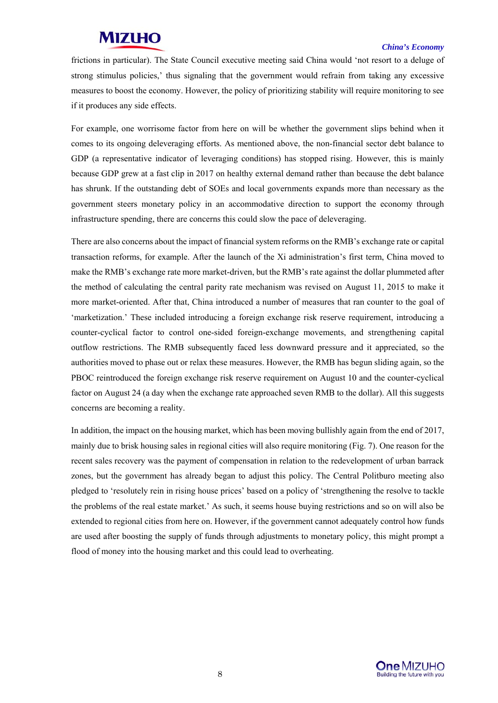#### *China's Economy*

frictions in particular). The State Council executive meeting said China would 'not resort to a deluge of strong stimulus policies,' thus signaling that the government would refrain from taking any excessive measures to boost the economy. However, the policy of prioritizing stability will require monitoring to see if it produces any side effects.

For example, one worrisome factor from here on will be whether the government slips behind when it comes to its ongoing deleveraging efforts. As mentioned above, the non-financial sector debt balance to GDP (a representative indicator of leveraging conditions) has stopped rising. However, this is mainly because GDP grew at a fast clip in 2017 on healthy external demand rather than because the debt balance has shrunk. If the outstanding debt of SOEs and local governments expands more than necessary as the government steers monetary policy in an accommodative direction to support the economy through infrastructure spending, there are concerns this could slow the pace of deleveraging.

There are also concerns about the impact of financial system reforms on the RMB's exchange rate or capital transaction reforms, for example. After the launch of the Xi administration's first term, China moved to make the RMB's exchange rate more market-driven, but the RMB's rate against the dollar plummeted after the method of calculating the central parity rate mechanism was revised on August 11, 2015 to make it more market-oriented. After that, China introduced a number of measures that ran counter to the goal of 'marketization.' These included introducing a foreign exchange risk reserve requirement, introducing a counter-cyclical factor to control one-sided foreign-exchange movements, and strengthening capital outflow restrictions. The RMB subsequently faced less downward pressure and it appreciated, so the authorities moved to phase out or relax these measures. However, the RMB has begun sliding again, so the PBOC reintroduced the foreign exchange risk reserve requirement on August 10 and the counter-cyclical factor on August 24 (a day when the exchange rate approached seven RMB to the dollar). All this suggests concerns are becoming a reality.

In addition, the impact on the housing market, which has been moving bullishly again from the end of 2017, mainly due to brisk housing sales in regional cities will also require monitoring (Fig. 7). One reason for the recent sales recovery was the payment of compensation in relation to the redevelopment of urban barrack zones, but the government has already began to adjust this policy. The Central Politburo meeting also pledged to 'resolutely rein in rising house prices' based on a policy of 'strengthening the resolve to tackle the problems of the real estate market.' As such, it seems house buying restrictions and so on will also be extended to regional cities from here on. However, if the government cannot adequately control how funds are used after boosting the supply of funds through adjustments to monetary policy, this might prompt a flood of money into the housing market and this could lead to overheating.

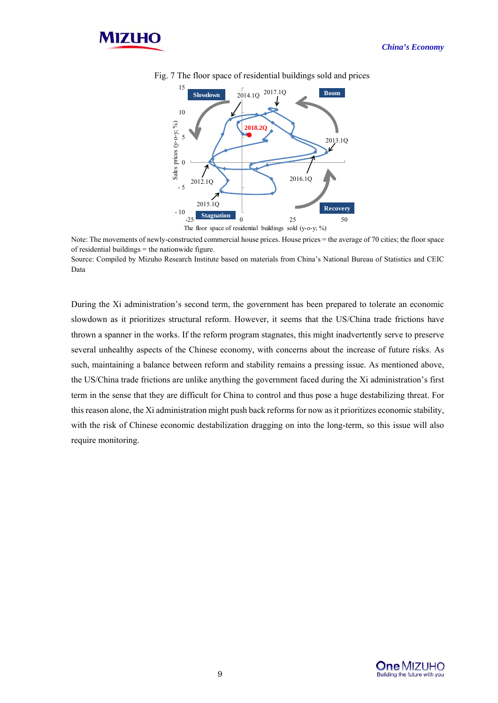



Fig. 7 The floor space of residential buildings sold and prices

Note: The movements of newly-constructed commercial house prices. House prices = the average of 70 cities; the floor space of residential buildings  $=$  the nationwide figure.

Source: Compiled by Mizuho Research Institute based on materials from China's National Bureau of Statistics and CEIC Data

During the Xi administration's second term, the government has been prepared to tolerate an economic slowdown as it prioritizes structural reform. However, it seems that the US/China trade frictions have thrown a spanner in the works. If the reform program stagnates, this might inadvertently serve to preserve several unhealthy aspects of the Chinese economy, with concerns about the increase of future risks. As such, maintaining a balance between reform and stability remains a pressing issue. As mentioned above, the US/China trade frictions are unlike anything the government faced during the Xi administration's first term in the sense that they are difficult for China to control and thus pose a huge destabilizing threat. For this reason alone, the Xi administration might push back reforms for now as it prioritizes economic stability, with the risk of Chinese economic destabilization dragging on into the long-term, so this issue will also require monitoring.

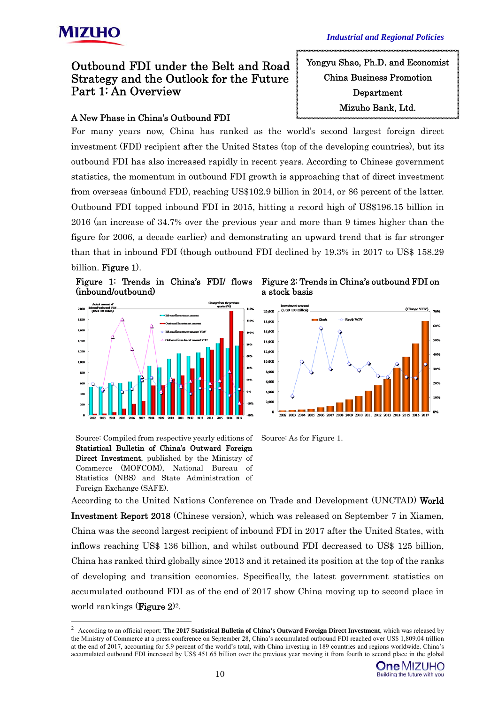

### Outbound FDI under the Belt and Road Strategy and the Outlook for the Future Part 1: An Overview

#### A New Phase in China's Outbound FDI

For many years now, China has ranked as the world's second largest foreign direct investment (FDI) recipient after the United States (top of the developing countries), but its outbound FDI has also increased rapidly in recent years. According to Chinese government statistics, the momentum in outbound FDI growth is approaching that of direct investment from overseas (inbound FDI), reaching US\$102.9 billion in 2014, or 86 percent of the latter. Outbound FDI topped inbound FDI in 2015, hitting a record high of US\$196.15 billion in 2016 (an increase of 34.7% over the previous year and more than 9 times higher than the figure for 2006, a decade earlier) and demonstrating an upward trend that is far stronger than that in inbound FDI (though outbound FDI declined by 19.3% in 2017 to US\$ 158.29 billion. Figure 1).





Source: Compiled from respective yearly editions of Statistical Bulletin of China's Outward Foreign Direct Investment, published by the Ministry of Commerce (MOFCOM), National Bureau of Statistics (NBS) and State Administration of Foreign Exchange (SAFE).

-

a stock basis



Source: As for Figure 1.

According to the United Nations Conference on Trade and Development (UNCTAD) World Investment Report 2018 (Chinese version), which was released on September 7 in Xiamen, China was the second largest recipient of inbound FDI in 2017 after the United States, with inflows reaching US\$ 136 billion, and whilst outbound FDI decreased to US\$ 125 billion, China has ranked third globally since 2013 and it retained its position at the top of the ranks of developing and transition economies. Specifically, the latest government statistics on accumulated outbound FDI as of the end of 2017 show China moving up to second place in world rankings (**Figure 2**)<sup>2</sup>.



Yongyu Shao, Ph.D. and Economist China Business Promotion Department Mizuho Bank, Ltd.

<sup>2</sup> According to an official report: **The 2017 Statistical Bulletin of China's Outward Foreign Direct Investment**, which was released by the Ministry of Commerce at a press conference on September 28, China's accumulated outbound FDI reached over US\$ 1,809.04 trillion at the end of 2017, accounting for 5.9 percent of the world's total, with China investing in 189 countries and regions worldwide. China's accumulated outbound FDI increased by US\$ 451.65 billion over the previous year moving it from fourth to second place in the global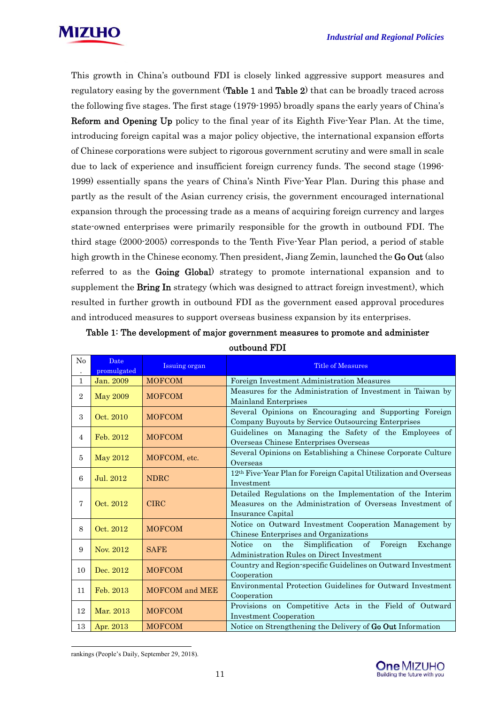

This growth in China's outbound FDI is closely linked aggressive support measures and regulatory easing by the government (Table 1 and Table 2) that can be broadly traced across the following five stages. The first stage (1979-1995) broadly spans the early years of China's Reform and Opening Up policy to the final year of its Eighth Five-Year Plan. At the time, introducing foreign capital was a major policy objective, the international expansion efforts of Chinese corporations were subject to rigorous government scrutiny and were small in scale due to lack of experience and insufficient foreign currency funds. The second stage (1996- 1999) essentially spans the years of China's Ninth Five-Year Plan. During this phase and partly as the result of the Asian currency crisis, the government encouraged international expansion through the processing trade as a means of acquiring foreign currency and larges state-owned enterprises were primarily responsible for the growth in outbound FDI. The third stage (2000-2005) corresponds to the Tenth Five-Year Plan period, a period of stable high growth in the Chinese economy. Then president, Jiang Zemin, launched the Go Out (also referred to as the Going Global) strategy to promote international expansion and to supplement the **Bring In** strategy (which was designed to attract foreign investment), which resulted in further growth in outbound FDI as the government eased approval procedures and introduced measures to support overseas business expansion by its enterprises.

| No             | <b>Date</b><br>promulgated | Issuing organ                | <b>Title of Measures</b>                                                                                                                   |  |
|----------------|----------------------------|------------------------------|--------------------------------------------------------------------------------------------------------------------------------------------|--|
| $\mathbf{1}$   | Jan. 2009                  | <b>MOFCOM</b>                | Foreign Investment Administration Measures                                                                                                 |  |
| $\overline{2}$ | <b>May 2009</b>            | <b>MOFCOM</b>                | Measures for the Administration of Investment in Taiwan by<br>Mainland Enterprises                                                         |  |
| 3              | Oct. 2010                  | <b>MOFCOM</b>                | Several Opinions on Encouraging and Supporting Foreign<br>Company Buyouts by Service Outsourcing Enterprises                               |  |
| $\overline{4}$ | Feb. 2012                  | <b>MOFCOM</b>                | Guidelines on Managing the Safety of the Employees of<br>Overseas Chinese Enterprises Overseas                                             |  |
| 5              | <b>May 2012</b>            | MOFCOM, etc.                 | Several Opinions on Establishing a Chinese Corporate Culture<br>Overseas                                                                   |  |
| 6              | Jul. 2012                  | <b>NDRC</b>                  | 12 <sup>th</sup> Five-Year Plan for Foreign Capital Utilization and Overseas<br>Investment                                                 |  |
| 7              | Oct. 2012                  | <b>CIRC</b>                  | Detailed Regulations on the Implementation of the Interim<br>Measures on the Administration of Overseas Investment of<br>Insurance Capital |  |
| 8              | Oct. 2012                  | <b>MOFCOM</b>                | Notice on Outward Investment Cooperation Management by<br>Chinese Enterprises and Organizations                                            |  |
| 9              | Nov. 2012                  | <b>SAFE</b>                  | the<br>Simplification of Foreign<br><b>Notice</b><br>Exchange<br>on<br>Administration Rules on Direct Investment                           |  |
| 10             | Dec. 2012                  | <b>MOFCOM</b>                | Country and Region-specific Guidelines on Outward Investment<br>Cooperation                                                                |  |
| 11             | Feb. 2013                  | <b>MOFCOM</b> and <b>MEE</b> | Environmental Protection Guidelines for Outward Investment<br>Cooperation                                                                  |  |
| 12             | Mar. 2013                  | <b>MOFCOM</b>                | Provisions on Competitive Acts in the Field of Outward<br><b>Investment Cooperation</b>                                                    |  |
| 13             | Apr. 2013                  | <b>MOFCOM</b>                | Notice on Strengthening the Delivery of Go Out Information                                                                                 |  |

Table 1: The development of major government measures to promote and administer outbound FDI



rankings (People's Daily, September 29, 2018).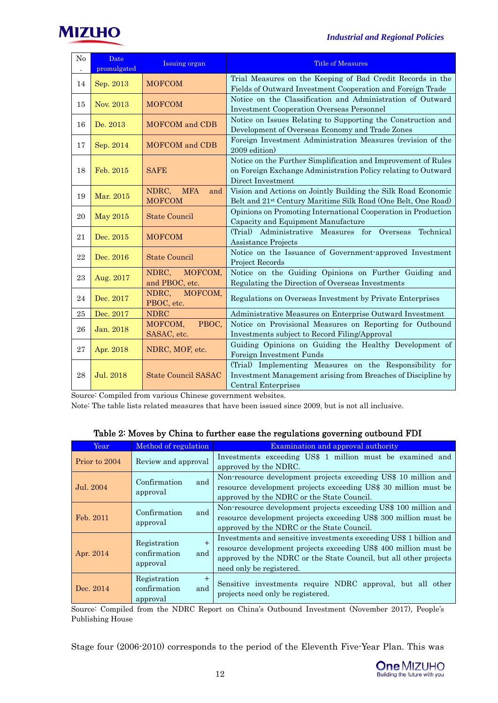



| No<br>$\cdot$ | Date<br>promulgated | <b>Issuing organ</b>                        | <b>Title of Measures</b>                                                                                                                              |  |
|---------------|---------------------|---------------------------------------------|-------------------------------------------------------------------------------------------------------------------------------------------------------|--|
| 14            | Sep. 2013           | <b>MOFCOM</b>                               | Trial Measures on the Keeping of Bad Credit Records in the<br>Fields of Outward Investment Cooperation and Foreign Trade                              |  |
| 15            | Nov. 2013           | <b>MOFCOM</b>                               | Notice on the Classification and Administration of Outward<br><b>Investment Cooperation Overseas Personnel</b>                                        |  |
| 16            | De. 2013            | <b>MOFCOM</b> and CDB                       | Notice on Issues Relating to Supporting the Construction and<br>Development of Overseas Economy and Trade Zones                                       |  |
| 17            | Sep. 2014           | <b>MOFCOM</b> and CDB                       | Foreign Investment Administration Measures (revision of the<br>2009 edition                                                                           |  |
| 18            | Feb. 2015           | <b>SAFE</b>                                 | Notice on the Further Simplification and Improvement of Rules<br>on Foreign Exchange Administration Policy relating to Outward<br>Direct Investment   |  |
| 19            | Mar. 2015           | <b>MFA</b><br>NDRC,<br>and<br><b>MOFCOM</b> | Vision and Actions on Jointly Building the Silk Road Economic<br>Belt and 21 <sup>st</sup> Century Maritime Silk Road (One Belt, One Road)            |  |
| 20            | May 2015            | <b>State Council</b>                        | Opinions on Promoting International Cooperation in Production<br>Capacity and Equipment Manufacture                                                   |  |
| 21            | Dec. 2015           | <b>MOFCOM</b>                               | (Trial) Administrative Measures for Overseas<br>Technical<br>Assistance Projects                                                                      |  |
| 22            | Dec. 2016           | <b>State Council</b>                        | Notice on the Issuance of Government-approved Investment<br>Project Records                                                                           |  |
| 23            | Aug. 2017           | NDRC,<br>MOFCOM,<br>and PBOC, etc.          | Notice on the Guiding Opinions on Further Guiding and<br>Regulating the Direction of Overseas Investments                                             |  |
| 24            | Dec. 2017           | NDRC,<br>MOFCOM,<br>PBOC, etc.              | Regulations on Overseas Investment by Private Enterprises                                                                                             |  |
| 25            | Dec. 2017           | <b>NDRC</b>                                 | Administrative Measures on Enterprise Outward Investment                                                                                              |  |
| 26            | Jan. 2018           | MOFCOM,<br>PBOC,<br>SASAC, etc.             | Notice on Provisional Measures on Reporting for Outbound<br>Investments subject to Record Filing/Approval                                             |  |
| 27            | Apr. 2018           | NDRC, MOF, etc.                             | Guiding Opinions on Guiding the Healthy Development of<br>Foreign Investment Funds                                                                    |  |
| 28            | Jul. 2018           | <b>State Council SASAC</b>                  | (Trial) Implementing Measures on the Responsibility for<br>Investment Management arising from Breaches of Discipline by<br><b>Central Enterprises</b> |  |

Source: Compiled from various Chinese government websites.

Note: The table lists related measures that have been issued since 2009, but is not all inclusive.

| Year          | Method of regulation                                   | <b>Examination and approval authority</b>                                                                                                                                                                                               |
|---------------|--------------------------------------------------------|-----------------------------------------------------------------------------------------------------------------------------------------------------------------------------------------------------------------------------------------|
| Prior to 2004 | Review and approval                                    | Investments exceeding US\$ 1 million must be examined and<br>approved by the NDRC.                                                                                                                                                      |
| Jul. 2004     | Confirmation<br>and<br>approval                        | Non-resource development projects exceeding US\$ 10 million and<br>resource development projects exceeding US\$ 30 million must be<br>approved by the NDRC or the State Council.                                                        |
| Feb. 2011     | and<br>Confirmation<br>approval                        | Non-resource development projects exceeding US\$ 100 million and<br>resource development projects exceeding US\$ 300 million must be<br>approved by the NDRC or the State Council.                                                      |
| Apr. 2014     | $+$<br>Registration<br>confirmation<br>and<br>approval | Investments and sensitive investments exceeding US\$ 1 billion and<br>resource development projects exceeding US\$ 400 million must be<br>approved by the NDRC or the State Council, but all other projects<br>need only be registered. |
| Dec. 2014     | Registration<br>$+$<br>confirmation<br>and<br>approval | Sensitive investments require NDRC approval, but all other<br>projects need only be registered.                                                                                                                                         |

#### Table 2: Moves by China to further ease the regulations governing outbound FDI

Source: Compiled from the NDRC Report on China's Outbound Investment (November 2017), People's Publishing House

Stage four (2006-2010) corresponds to the period of the Eleventh Five-Year Plan. This was

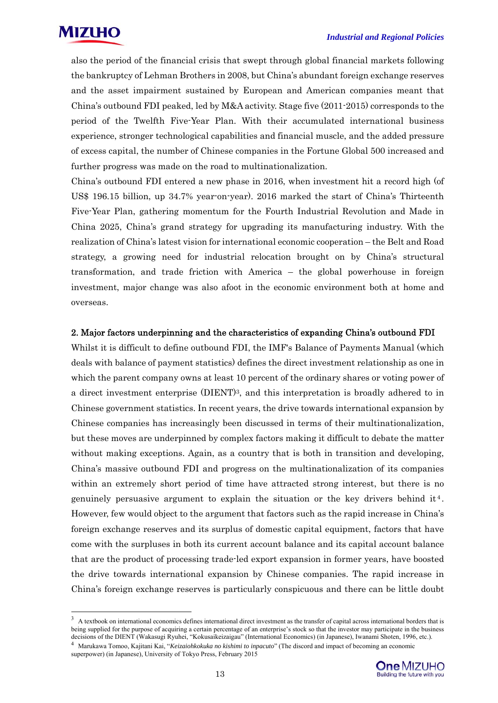also the period of the financial crisis that swept through global financial markets following the bankruptcy of Lehman Brothers in 2008, but China's abundant foreign exchange reserves and the asset impairment sustained by European and American companies meant that China's outbound FDI peaked, led by M&A activity. Stage five (2011-2015) corresponds to the period of the Twelfth Five-Year Plan. With their accumulated international business experience, stronger technological capabilities and financial muscle, and the added pressure of excess capital, the number of Chinese companies in the Fortune Global 500 increased and further progress was made on the road to multinationalization.

China's outbound FDI entered a new phase in 2016, when investment hit a record high (of US\$ 196.15 billion, up 34.7% year-on-year). 2016 marked the start of China's Thirteenth Five-Year Plan, gathering momentum for the Fourth Industrial Revolution and Made in China 2025, China's grand strategy for upgrading its manufacturing industry. With the realization of China's latest vision for international economic cooperation – the Belt and Road strategy, a growing need for industrial relocation brought on by China's structural transformation, and trade friction with America – the global powerhouse in foreign investment, major change was also afoot in the economic environment both at home and overseas.

#### 2. Major factors underpinning and the characteristics of expanding China's outbound FDI

Whilst it is difficult to define outbound FDI, the IMF's Balance of Payments Manual (which deals with balance of payment statistics) defines the direct investment relationship as one in which the parent company owns at least 10 percent of the ordinary shares or voting power of a direct investment enterprise (DIENT)3, and this interpretation is broadly adhered to in Chinese government statistics. In recent years, the drive towards international expansion by Chinese companies has increasingly been discussed in terms of their multinationalization, but these moves are underpinned by complex factors making it difficult to debate the matter without making exceptions. Again, as a country that is both in transition and developing, China's massive outbound FDI and progress on the multinationalization of its companies within an extremely short period of time have attracted strong interest, but there is no genuinely persuasive argument to explain the situation or the key drivers behind it<sup>4</sup>. However, few would object to the argument that factors such as the rapid increase in China's foreign exchange reserves and its surplus of domestic capital equipment, factors that have come with the surpluses in both its current account balance and its capital account balance that are the product of processing trade-led export expansion in former years, have boosted the drive towards international expansion by Chinese companies. The rapid increase in China's foreign exchange reserves is particularly conspicuous and there can be little doubt

superpower) (in Japanese), University of Tokyo Press, February 2015



 $3\,$  A textbook on international economics defines international direct investment as the transfer of capital across international borders that is being supplied for the purpose of acquiring a certain percentage of an enterprise's stock so that the investor may participate in the business decisions of the DIENT (Wakasugi Ryuhei, "Kokusaikeizaigau" (International Economics) (in Japanese), Iwanami Shoten, 1996, etc.).<br><sup>4</sup> Marukawa Tomoo, Kajitani Kai, "Keizaiohkokuka no kishimi to inpacuto" (The discord and i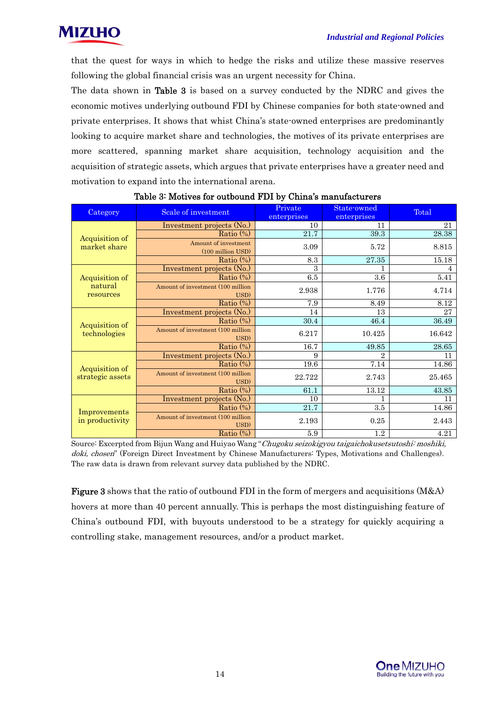

that the quest for ways in which to hedge the risks and utilize these massive reserves following the global financial crisis was an urgent necessity for China.

The data shown in Table 3 is based on a survey conducted by the NDRC and gives the economic motives underlying outbound FDI by Chinese companies for both state-owned and private enterprises. It shows that whist China's state-owned enterprises are predominantly looking to acquire market share and technologies, the motives of its private enterprises are more scattered, spanning market share acquisition, technology acquisition and the acquisition of strategic assets, which argues that private enterprises have a greater need and motivation to expand into the international arena.

| Category             | Scale of investment                       | Private<br>enterprises | State-owned<br>enterprises | Total  |
|----------------------|-------------------------------------------|------------------------|----------------------------|--------|
|                      | Investment projects (No.)                 | 10                     | 11                         | 21     |
| Acquisition of       | Ratio $(\%)$                              | 21.7                   | 39.3                       | 28.38  |
| market share         | Amount of investment<br>(100 million USD) | 3.09                   | 5.72                       | 8.815  |
|                      | Ratio $(\%)$                              | 8.3                    | 27.35                      | 15.18  |
|                      | Investment projects (No.)                 | 3                      |                            | 4      |
| Acquisition of       | Ratio $(\%)$                              | 6.5                    | 3.6                        | 5.41   |
| natural<br>resources | Amount of investment (100 million<br>USD) | 2.938                  | 1.776                      | 4.714  |
|                      | Ratio $(\%)$                              | $\overline{7.9}$       | 8.49                       | 8.12   |
|                      | Investment projects (No.)                 | 14                     | 13                         | 27     |
| Acquisition of       | Ratio $(\%)$                              | 30.4                   | 46.4                       | 36.49  |
| technologies         | Amount of investment (100 million<br>USD) | 6.217                  | 10.425                     | 16.642 |
|                      | Ratio $(\%)$                              | 16.7                   | 49.85                      | 28.65  |
|                      | Investment projects (No.)                 | 9                      | $\overline{2}$             | 11     |
| Acquisition of       | Ratio $(\frac{1}{2})$                     | $19.\overline{6}$      | 7.14                       | 14.86  |
| strategic assets     | Amount of investment (100 million<br>USD) | 22.722                 | 2.743                      | 25.465 |
|                      | Ratio $(\%)$                              | 61.1                   | 13.12                      | 43.85  |
|                      | Investment projects (No.)                 | 10                     | 1                          | 11     |
| Improvements         | Ratio $(\%)$                              | 21.7                   | 3.5                        | 14.86  |
| in productivity      | Amount of investment (100 million<br>USD) | 2.193                  | 0.25                       | 2.443  |
|                      | Ratio (%)                                 | $5.9\,$                | 1.2                        | 4.21   |

#### Table 3: Motives for outbound FDI by China's manufacturers

Source: Excerpted from Bijun Wang and Huiyao Wang "Chugoku seizokigyou taigaichokusetsutoshi: moshiki, doki, chosen" (Foreign Direct Investment by Chinese Manufacturers: Types, Motivations and Challenges). The raw data is drawn from relevant survey data published by the NDRC.

Figure 3 shows that the ratio of outbound FDI in the form of mergers and acquisitions (M&A) hovers at more than 40 percent annually. This is perhaps the most distinguishing feature of China's outbound FDI, with buyouts understood to be a strategy for quickly acquiring a controlling stake, management resources, and/or a product market.

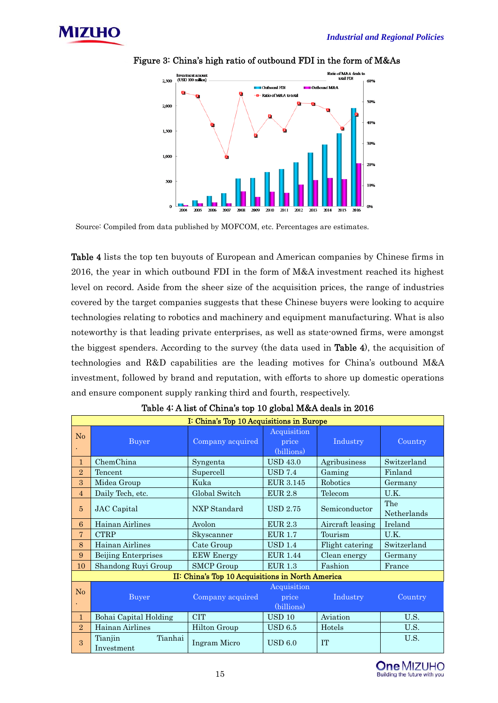



Figure 3: China's high ratio of outbound FDI in the form of M&As

Source: Compiled from data published by MOFCOM, etc. Percentages are estimates.

Table 4 lists the top ten buyouts of European and American companies by Chinese firms in 2016, the year in which outbound FDI in the form of M&A investment reached its highest level on record. Aside from the sheer size of the acquisition prices, the range of industries covered by the target companies suggests that these Chinese buyers were looking to acquire technologies relating to robotics and machinery and equipment manufacturing. What is also noteworthy is that leading private enterprises, as well as state-owned firms, were amongst the biggest spenders. According to the survey (the data used in Table 4), the acquisition of technologies and R&D capabilities are the leading motives for China's outbound M&A investment, followed by brand and reputation, with efforts to shore up domestic operations and ensure component supply ranking third and fourth, respectively.

|                | I: China's Top 10 Acquisitions in Europe |                                                  |                                    |                  |                    |  |  |
|----------------|------------------------------------------|--------------------------------------------------|------------------------------------|------------------|--------------------|--|--|
| No             | Buyer                                    | Company acquired                                 | Acquisition<br>price<br>(billions) | Industry         | Country            |  |  |
| $\mathbf{1}$   | ChemChina                                | Syngenta                                         | <b>USD 43.0</b>                    | Agribusiness     | Switzerland        |  |  |
| $\overline{2}$ | Tencent                                  | Supercell                                        | <b>USD 7.4</b>                     | Gaming           | Finland            |  |  |
| 3              | Midea Group                              | Kuka                                             | <b>EUR 3.145</b>                   | Robotics         | Germany            |  |  |
| $\overline{4}$ | Daily Tech, etc.                         | Global Switch                                    | <b>EUR 2.8</b>                     | Telecom          | U.K.               |  |  |
| 5              | <b>JAC</b> Capital                       | NXP Standard                                     | <b>USD 2.75</b>                    | Semiconductor    | The<br>Netherlands |  |  |
| 6              | Hainan Airlines                          | Avolon                                           | EUR 2.3                            | Aircraft leasing | Ireland            |  |  |
| $\overline{7}$ | <b>CTRP</b>                              | Skyscanner                                       | <b>EUR 1.7</b>                     | Tourism          | U.K.               |  |  |
| 8              | Hainan Airlines                          | Cate Group                                       | <b>USD 1.4</b>                     | Flight catering  | Switzerland        |  |  |
| 9              | <b>Beijing Enterprises</b>               | <b>EEW Energy</b>                                | <b>EUR 1.44</b>                    | Clean energy     | Germany            |  |  |
| 10             | Shandong Ruyi Group                      | <b>SMCP</b> Group                                | <b>EUR 1.3</b>                     | Fashion          | France             |  |  |
|                |                                          | II: China's Top 10 Acquisitions in North America |                                    |                  |                    |  |  |
| No             | Buyer                                    | Company acquired                                 | Acquisition<br>price<br>(billions) | Industry         | Country            |  |  |
| $\mathbf{1}$   | Bohai Capital Holding                    | <b>CIT</b>                                       | <b>USD 10</b>                      | Aviation         | U.S.               |  |  |
| $\overline{2}$ | Hainan Airlines                          | Hilton Group                                     | $\mathrm{USD}~6.5$                 | Hotels           | U.S.               |  |  |
| 3              | Tianhai<br>Tianjin<br>Investment         | Ingram Micro                                     | USD 6.0                            | <b>TT</b>        | U.S.               |  |  |

#### Table 4: A list of China's top 10 global M&A deals in 2016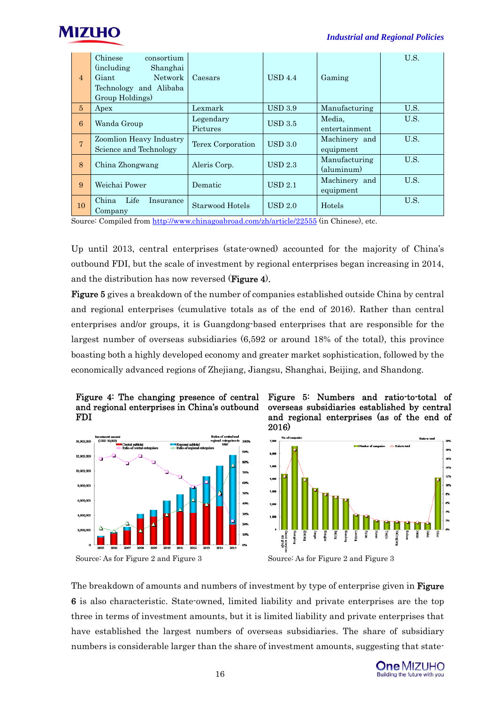| $\overline{4}$ | Chinese<br>consortium<br><i>(including)</i><br>Shanghai<br>Network<br>Giant<br>Technology and Alibaba<br>Group Holdings) | Caesars               | UBD4.4            | Gaming                      | U.S. |
|----------------|--------------------------------------------------------------------------------------------------------------------------|-----------------------|-------------------|-----------------------------|------|
| $\overline{5}$ | Apex                                                                                                                     | Lexmark               | <b>USD 3.9</b>    | Manufacturing               | U.S. |
| 6              | Wanda Group                                                                                                              | Legendary<br>Pictures | <b>USD 3.5</b>    | Media,<br>entertainment     | U.S. |
| $\overline{7}$ | Zoomlion Heavy Industry<br>Science and Technology                                                                        | Terex Corporation     | USD 3.0           | Machinery and<br>equipment  | U.S. |
| 8              | China Zhongwang                                                                                                          | Aleris Corp.          | $\text{USD } 2.3$ | Manufacturing<br>(aluminum) | U.S. |
| 9              | Weichai Power                                                                                                            | Dematic               | USD 2.1           | Machinery and<br>equipment  | U.S. |
| 10             | Life<br>China<br>Insurance<br>Company                                                                                    | Starwood Hotels       | UBD 2.0           | Hotels                      | U.S. |

Source: Compiled from http://www.chinagoabroad.com/zh/article/22555 (in Chinese), etc.

Up until 2013, central enterprises (state-owned) accounted for the majority of China's outbound FDI, but the scale of investment by regional enterprises began increasing in 2014, and the distribution has now reversed (Figure 4).

Figure 5 gives a breakdown of the number of companies established outside China by central and regional enterprises (cumulative totals as of the end of 2016). Rather than central enterprises and/or groups, it is Guangdong-based enterprises that are responsible for the largest number of overseas subsidiaries (6,592 or around 18% of the total), this province boasting both a highly developed economy and greater market sophistication, followed by the economically advanced regions of Zhejiang, Jiangsu, Shanghai, Beijing, and Shandong.











The breakdown of amounts and numbers of investment by type of enterprise given in **Figure** 6 is also characteristic. State-owned, limited liability and private enterprises are the top three in terms of investment amounts, but it is limited liability and private enterprises that have established the largest numbers of overseas subsidiaries. The share of subsidiary numbers is considerable larger than the share of investment amounts, suggesting that state-

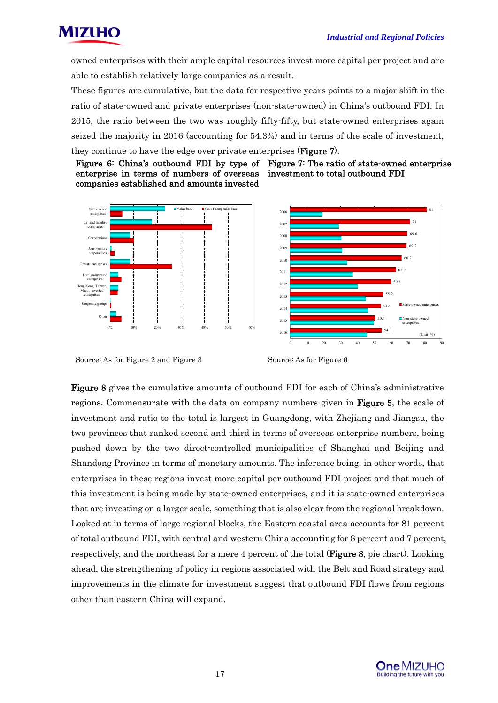



owned enterprises with their ample capital resources invest more capital per project and are able to establish relatively large companies as a result.

These figures are cumulative, but the data for respective years points to a major shift in the ratio of state-owned and private enterprises (non-state-owned) in China's outbound FDI. In 2015, the ratio between the two was roughly fifty-fifty, but state-owned enterprises again seized the majority in 2016 (accounting for 54.3%) and in terms of the scale of investment, they continue to have the edge over private enterprises (**Figure** 7).

Figure 6: China's outbound FDI by type of Figure 7: The ratio of state-owned enterprise enterprise in terms of numbers of overseas companies established and amounts invested investment to total outbound FDI





Source: As for Figure 2 and Figure 3 Source: As for Figure 6

Figure 8 gives the cumulative amounts of outbound FDI for each of China's administrative regions. Commensurate with the data on company numbers given in **Figure 5**, the scale of investment and ratio to the total is largest in Guangdong, with Zhejiang and Jiangsu, the two provinces that ranked second and third in terms of overseas enterprise numbers, being pushed down by the two direct-controlled municipalities of Shanghai and Beijing and Shandong Province in terms of monetary amounts. The inference being, in other words, that enterprises in these regions invest more capital per outbound FDI project and that much of this investment is being made by state-owned enterprises, and it is state-owned enterprises that are investing on a larger scale, something that is also clear from the regional breakdown. Looked at in terms of large regional blocks, the Eastern coastal area accounts for 81 percent of total outbound FDI, with central and western China accounting for 8 percent and 7 percent, respectively, and the northeast for a mere 4 percent of the total (**Figure 8**, pie chart). Looking ahead, the strengthening of policy in regions associated with the Belt and Road strategy and improvements in the climate for investment suggest that outbound FDI flows from regions other than eastern China will expand.

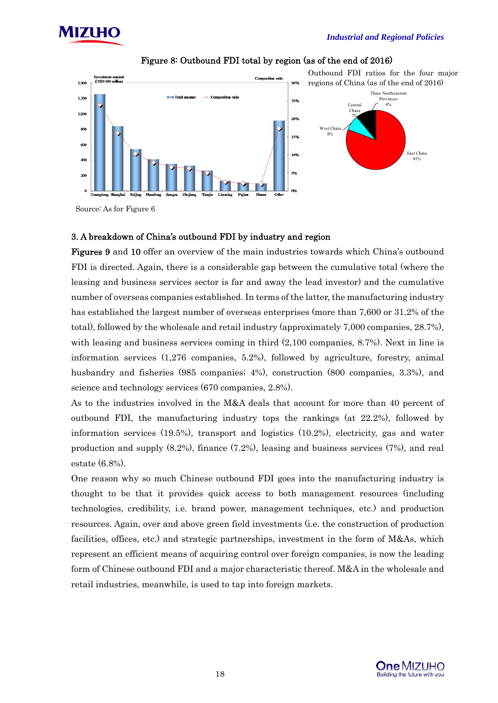



Figure 8: Outbound FDI total by region (as of the end of 2016)

Source: As for Figure 6

#### 3. A breakdown of China's outbound FDI by industry and region

Figures 9 and 10 offer an overview of the main industries towards which China's outbound FDI is directed. Again, there is a considerable gap between the cumulative total (where the leasing and business services sector is far and away the lead investor) and the cumulative number of overseas companies established. In terms of the latter, the manufacturing industry has established the largest number of overseas enterprises (more than 7,600 or 31.2% of the total), followed by the wholesale and retail industry (approximately 7,000 companies, 28.7%), with leasing and business services coming in third  $(2,100)$  companies, 8.7%). Next in line is information services (1,276 companies, 5.2%), followed by agriculture, forestry, animal husbandry and fisheries (985 companies; 4%), construction (800 companies, 3.3%), and science and technology services (670 companies, 2.8%).

As to the industries involved in the M&A deals that account for more than 40 percent of outbound FDI, the manufacturing industry tops the rankings (at 22.2%), followed by information services (19.5%), transport and logistics (10.2%), electricity, gas and water production and supply (8.2%), finance (7.2%), leasing and business services (7%), and real estate (6.8%).

One reason why so much Chinese outbound FDI goes into the manufacturing industry is thought to be that it provides quick access to both management resources (including technologies, credibility, i.e. brand power, management techniques, etc.) and production resources. Again, over and above green field investments (i.e. the construction of production facilities, offices, etc.) and strategic partnerships, investment in the form of M&As, which represent an efficient means of acquiring control over foreign companies, is now the leading form of Chinese outbound FDI and a major characteristic thereof. M&A in the wholesale and retail industries, meanwhile, is used to tap into foreign markets.

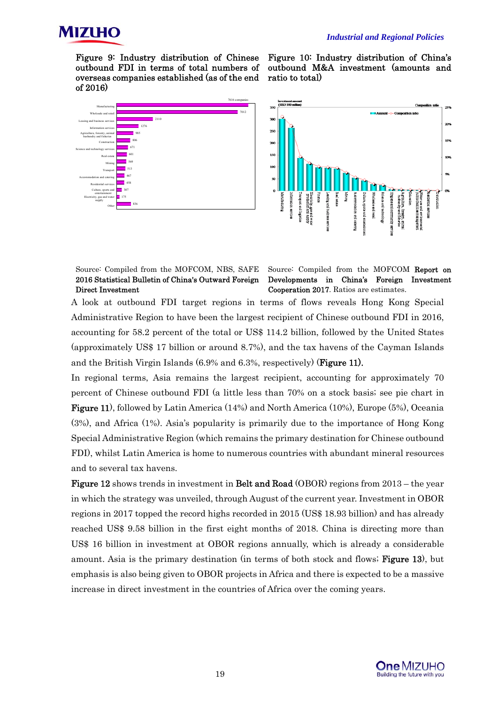

Figure 9: Industry distribution of Chinese outbound FDI in terms of total numbers of overseas companies established (as of the end of 2016)



Figure 10: Industry distribution of China's outbound M&A investment (amounts and ratio to total)



Source: Compiled from the MOFCOM, NBS, SAFE 2016 Statistical Bulletin of China's Outward Foreign Direct Investment

Source: Compiled from the MOFCOM Report on Developments in China's Foreign Investment Cooperation 2017. Ratios are estimates.

A look at outbound FDI target regions in terms of flows reveals Hong Kong Special Administrative Region to have been the largest recipient of Chinese outbound FDI in 2016, accounting for 58.2 percent of the total or US\$ 114.2 billion, followed by the United States (approximately US\$ 17 billion or around 8.7%), and the tax havens of the Cayman Islands and the British Virgin Islands (6.9% and 6.3%, respectively) (Figure 11).

In regional terms, Asia remains the largest recipient, accounting for approximately 70 percent of Chinese outbound FDI (a little less than 70% on a stock basis; see pie chart in Figure 11), followed by Latin America (14%) and North America (10%), Europe (5%), Oceania (3%), and Africa (1%). Asia's popularity is primarily due to the importance of Hong Kong Special Administrative Region (which remains the primary destination for Chinese outbound FDI), whilst Latin America is home to numerous countries with abundant mineral resources and to several tax havens.

Figure 12 shows trends in investment in Belt and Road (OBOR) regions from 2013 – the year in which the strategy was unveiled, through August of the current year. Investment in OBOR regions in 2017 topped the record highs recorded in 2015 (US\$ 18.93 billion) and has already reached US\$ 9.58 billion in the first eight months of 2018. China is directing more than US\$ 16 billion in investment at OBOR regions annually, which is already a considerable amount. Asia is the primary destination (in terms of both stock and flows; **Figure 13**), but emphasis is also being given to OBOR projects in Africa and there is expected to be a massive increase in direct investment in the countries of Africa over the coming years.

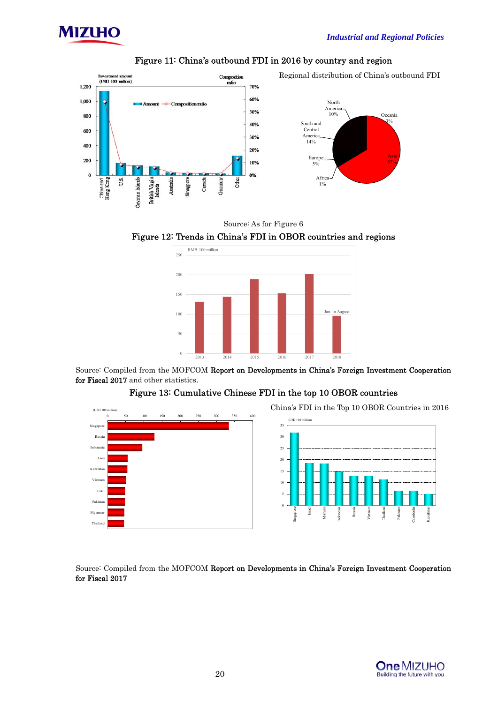



#### Figure 11: China's outbound FDI in 2016 by country and region

Source: As for Figure 6





Source: Compiled from the MOFCOM Report on Developments in China's Foreign Investment Cooperation for Fiscal 2017 and other statistics.

#### Figure 13: Cumulative Chinese FDI in the top 10 OBOR countries



Source: Compiled from the MOFCOM Report on Developments in China's Foreign Investment Cooperation for Fiscal 2017

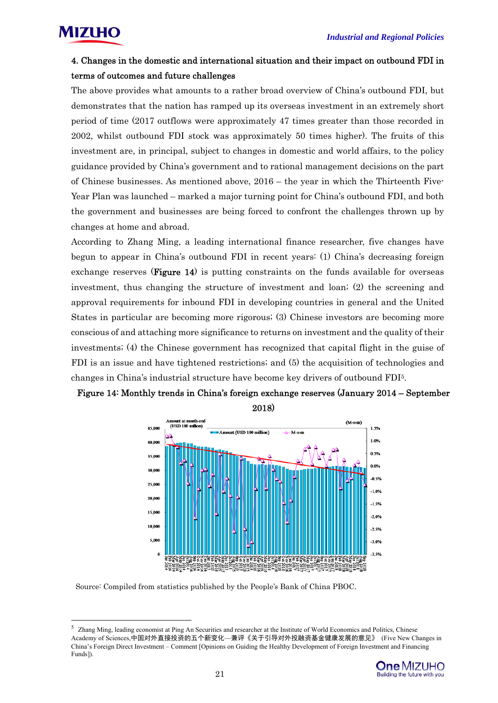

#### 4. Changes in the domestic and international situation and their impact on outbound FDI in terms of outcomes and future challenges

The above provides what amounts to a rather broad overview of China's outbound FDI, but demonstrates that the nation has ramped up its overseas investment in an extremely short period of time (2017 outflows were approximately 47 times greater than those recorded in 2002, whilst outbound FDI stock was approximately 50 times higher). The fruits of this investment are, in principal, subject to changes in domestic and world affairs, to the policy guidance provided by China's government and to rational management decisions on the part of Chinese businesses. As mentioned above, 2016 – the year in which the Thirteenth Five-Year Plan was launched – marked a major turning point for China's outbound FDI, and both the government and businesses are being forced to confront the challenges thrown up by changes at home and abroad.

According to Zhang Ming, a leading international finance researcher, five changes have begun to appear in China's outbound FDI in recent years: (1) China's decreasing foreign exchange reserves (**Figure 14**) is putting constraints on the funds available for overseas investment, thus changing the structure of investment and loan; (2) the screening and approval requirements for inbound FDI in developing countries in general and the United States in particular are becoming more rigorous; (3) Chinese investors are becoming more conscious of and attaching more significance to returns on investment and the quality of their investments; (4) the Chinese government has recognized that capital flight in the guise of FDI is an issue and have tightened restrictions; and (5) the acquisition of technologies and changes in China's industrial structure have become key drivers of outbound FDI5.





2018)

Source: Compiled from statistics published by the People's Bank of China PBOC.

<sup>5</sup> Zhang Ming, leading economist at Ping An Securities and researcher at the Institute of World Economics and Politics, Chinese Academy of Sciences,中国对外直接投资的五个新变化—兼评《关于引导对外投融资基金健康发展的意见》 (Five New Changes in China's Foreign Direct Investment – Comment [Opinions on Guiding the Healthy Development of Foreign Investment and Financing Funds]).

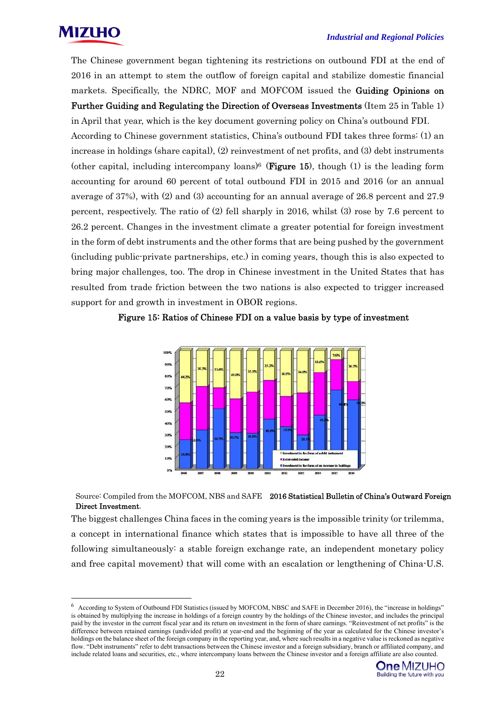

The Chinese government began tightening its restrictions on outbound FDI at the end of 2016 in an attempt to stem the outflow of foreign capital and stabilize domestic financial markets. Specifically, the NDRC, MOF and MOFCOM issued the Guiding Opinions on Further Guiding and Regulating the Direction of Overseas Investments (Item 25 in Table 1) in April that year, which is the key document governing policy on China's outbound FDI.

According to Chinese government statistics, China's outbound FDI takes three forms: (1) an increase in holdings (share capital), (2) reinvestment of net profits, and (3) debt instruments (other capital, including intercompany loans)<sup>6</sup> (**Figure 15**), though (1) is the leading form accounting for around 60 percent of total outbound FDI in 2015 and 2016 (or an annual average of 37%), with (2) and (3) accounting for an annual average of 26.8 percent and 27.9 percent, respectively. The ratio of (2) fell sharply in 2016, whilst (3) rose by 7.6 percent to 26.2 percent. Changes in the investment climate a greater potential for foreign investment in the form of debt instruments and the other forms that are being pushed by the government (including public-private partnerships, etc.) in coming years, though this is also expected to bring major challenges, too. The drop in Chinese investment in the United States that has resulted from trade friction between the two nations is also expected to trigger increased support for and growth in investment in OBOR regions.

Figure 15: Ratios of Chinese FDI on a value basis by type of investment



Source: Compiled from the MOFCOM, NBS and SAFE 2016 Statistical Bulletin of China's Outward Foreign Direct Investment.

The biggest challenges China faces in the coming years is the impossible trinity (or trilemma, a concept in international finance which states that is impossible to have all three of the following simultaneously: a stable foreign exchange rate, an independent monetary policy and free capital movement) that will come with an escalation or lengthening of China-U.S.

<sup>6</sup> According to System of Outbound FDI Statistics (issued by MOFCOM, NBSC and SAFE in December 2016), the "increase in holdings" is obtained by multiplying the increase in holdings of a foreign country by the holdings of the Chinese investor, and includes the principal paid by the investor in the current fiscal year and its return on investment in the form of share earnings. "Reinvestment of net profits" is the difference between retained earnings (undivided profit) at year-end and the beginning of the year as calculated for the Chinese investor's holdings on the balance sheet of the foreign company in the reporting year, and, where such results in a negative value is reckoned as negative flow. "Debt instruments" refer to debt transactions between the Chinese investor and a foreign subsidiary, branch or affiliated company, and include related loans and securities, etc., where intercompany loans between the Chinese investor and a foreign affiliate are also counted.

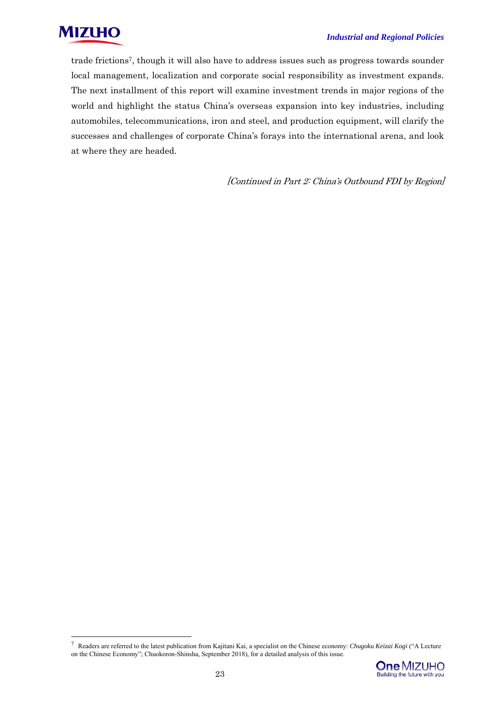

trade frictions7, though it will also have to address issues such as progress towards sounder local management, localization and corporate social responsibility as investment expands. The next installment of this report will examine investment trends in major regions of the world and highlight the status China's overseas expansion into key industries, including automobiles, telecommunications, iron and steel, and production equipment, will clarify the successes and challenges of corporate China's forays into the international arena, and look at where they are headed.

[Continued in Part 2: China's Outbound FDI by Region]

<sup>7</sup> Readers are referred to the latest publication from Kajitani Kai, a specialist on the Chinese economy: *Chugoku Keizai Kogi* ("A Lecture on the Chinese Economy"; Chuokoron-Shinsha, September 2018), for a detailed analysis of this issue.

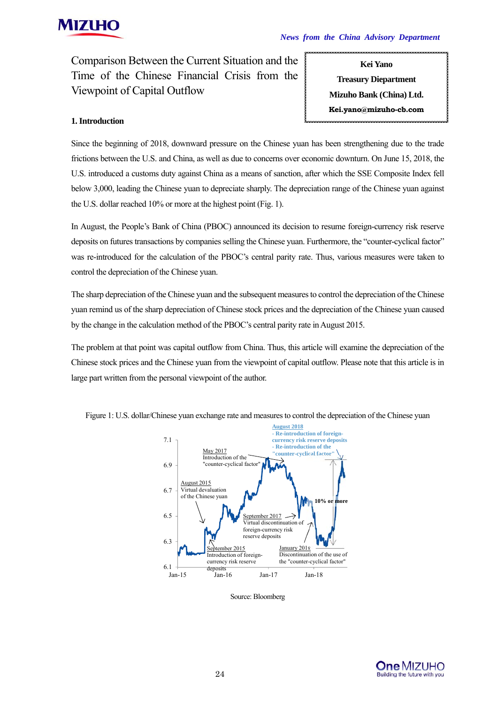

Comparison Between the Current Situation and the Time of the Chinese Financial Crisis from the Viewpoint of Capital Outflow

**Kei Yano Treasury Diepartment Mizuho Bank (China) Ltd. Kei.yano@mizuho-cb.com** 

#### **1. Introduction**

Since the beginning of 2018, downward pressure on the Chinese yuan has been strengthening due to the trade frictions between the U.S. and China, as well as due to concerns over economic downturn. On June 15, 2018, the U.S. introduced a customs duty against China as a means of sanction, after which the SSE Composite Index fell below 3,000, leading the Chinese yuan to depreciate sharply. The depreciation range of the Chinese yuan against the U.S. dollar reached 10% or more at the highest point (Fig. 1).

In August, the People's Bank of China (PBOC) announced its decision to resume foreign-currency risk reserve deposits on futures transactions by companies selling the Chinese yuan. Furthermore, the "counter-cyclical factor" was re-introduced for the calculation of the PBOC's central parity rate. Thus, various measures were taken to control the depreciation of the Chinese yuan.

The sharp depreciation of the Chinese yuan and the subsequent measures to control the depreciation of the Chinese yuan remind us of the sharp depreciation of Chinese stock prices and the depreciation of the Chinese yuan caused by the change in the calculation method of the PBOC's central parity rate in August 2015.

The problem at that point was capital outflow from China. Thus, this article will examine the depreciation of the Chinese stock prices and the Chinese yuan from the viewpoint of capital outflow. Please note that this article is in large part written from the personal viewpoint of the author.



Figure 1: U.S. dollar/Chinese yuan exchange rate and measures to control the depreciation of the Chinese yuan

Source: Bloomberg

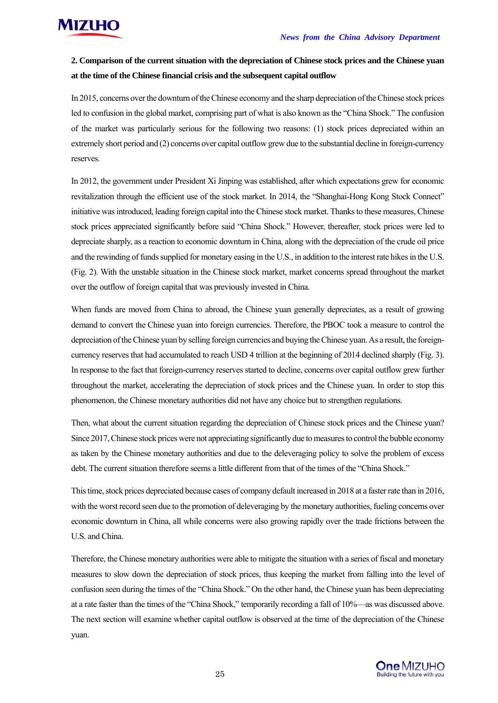

#### **2. Comparison of the current situation with the depreciation of Chinese stock prices and the Chinese yuan at the time of the Chinese financial crisis and the subsequent capital outflow**

In 2015, concerns over the downturn of the Chinese economy and the sharp depreciation of the Chinese stock prices led to confusion in the global market, comprising part of what is also known as the "China Shock." The confusion of the market was particularly serious for the following two reasons: (1) stock prices depreciated within an extremely short period and (2) concerns over capital outflow grew due to the substantial decline in foreign-currency reserves.

In 2012, the government under President Xi Jinping was established, after which expectations grew for economic revitalization through the efficient use of the stock market. In 2014, the "Shanghai-Hong Kong Stock Connect" initiative was introduced, leading foreign capital into the Chinese stock market. Thanks to these measures, Chinese stock prices appreciated significantly before said "China Shock." However, thereafter, stock prices were led to depreciate sharply, as a reaction to economic downturn in China, along with the depreciation of the crude oil price and the rewinding of funds supplied for monetary easing in the U.S., in addition to the interest rate hikes in the U.S. (Fig. 2). With the unstable situation in the Chinese stock market, market concerns spread throughout the market over the outflow of foreign capital that was previously invested in China.

When funds are moved from China to abroad, the Chinese yuan generally depreciates, as a result of growing demand to convert the Chinese yuan into foreign currencies. Therefore, the PBOC took a measure to control the depreciation of the Chinese yuan by selling foreign currencies and buying the Chinese yuan. As a result, the foreigncurrency reserves that had accumulated to reach USD 4 trillion at the beginning of 2014 declined sharply (Fig. 3). In response to the fact that foreign-currency reserves started to decline, concerns over capital outflow grew further throughout the market, accelerating the depreciation of stock prices and the Chinese yuan. In order to stop this phenomenon, the Chinese monetary authorities did not have any choice but to strengthen regulations.

Then, what about the current situation regarding the depreciation of Chinese stock prices and the Chinese yuan? Since 2017, Chinese stock prices were not appreciating significantly due to measures to control the bubble economy as taken by the Chinese monetary authorities and due to the deleveraging policy to solve the problem of excess debt. The current situation therefore seems a little different from that of the times of the "China Shock."

This time, stock prices depreciated because cases of company default increased in 2018 at a faster rate than in 2016, with the worst record seen due to the promotion of deleveraging by the monetary authorities, fueling concerns over economic downturn in China, all while concerns were also growing rapidly over the trade frictions between the U.S. and China.

Therefore, the Chinese monetary authorities were able to mitigate the situation with a series of fiscal and monetary measures to slow down the depreciation of stock prices, thus keeping the market from falling into the level of confusion seen during the times of the "China Shock." On the other hand, the Chinese yuan has been depreciating at a rate faster than the times of the "China Shock," temporarily recording a fall of 10%—as was discussed above. The next section will examine whether capital outflow is observed at the time of the depreciation of the Chinese yuan.

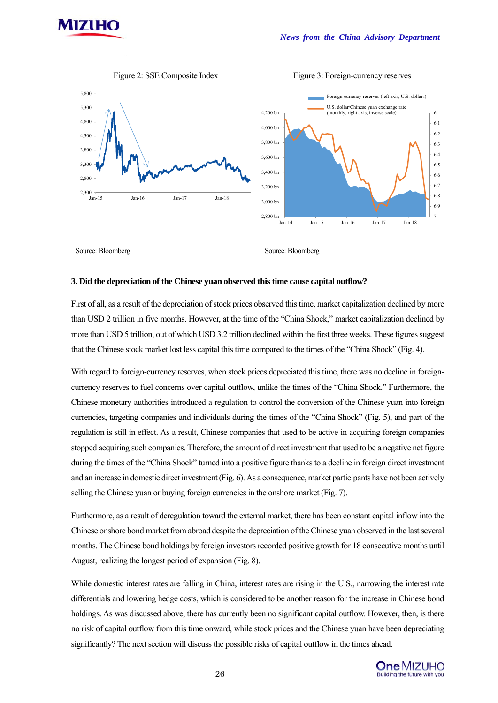



#### Figure 2: SSE Composite Index Figure 3: Foreign-currency reserves

6 6.1 6.2 6.3 6.4 6.5 6.6 6.7 6.8 6.9

Source: Bloomberg Source: Bloomberg Source: Bloomberg

#### **3. Did the depreciation of the Chinese yuan observed this time cause capital outflow?**

First of all, as a result of the depreciation of stock prices observed this time, market capitalization declined by more than USD 2 trillion in five months. However, at the time of the "China Shock," market capitalization declined by more than USD 5 trillion, out of which USD 3.2 trillion declined within the first three weeks. These figures suggest that the Chinese stock market lost less capital this time compared to the times of the "China Shock" (Fig. 4).

With regard to foreign-currency reserves, when stock prices depreciated this time, there was no decline in foreigncurrency reserves to fuel concerns over capital outflow, unlike the times of the "China Shock." Furthermore, the Chinese monetary authorities introduced a regulation to control the conversion of the Chinese yuan into foreign currencies, targeting companies and individuals during the times of the "China Shock" (Fig. 5), and part of the regulation is still in effect. As a result, Chinese companies that used to be active in acquiring foreign companies stopped acquiring such companies. Therefore, the amount of direct investment that used to be a negative net figure during the times of the "China Shock" turned into a positive figure thanks to a decline in foreign direct investment and an increase in domestic direct investment (Fig. 6). As a consequence, market participants have not been actively selling the Chinese yuan or buying foreign currencies in the onshore market (Fig. 7).

Furthermore, as a result of deregulation toward the external market, there has been constant capital inflow into the Chinese onshore bond market from abroad despite the depreciation of the Chinese yuan observed in the last several months. The Chinese bond holdings by foreign investors recorded positive growth for 18 consecutive months until August, realizing the longest period of expansion (Fig. 8).

While domestic interest rates are falling in China, interest rates are rising in the U.S., narrowing the interest rate differentials and lowering hedge costs, which is considered to be another reason for the increase in Chinese bond holdings. As was discussed above, there has currently been no significant capital outflow. However, then, is there no risk of capital outflow from this time onward, while stock prices and the Chinese yuan have been depreciating significantly? The next section will discuss the possible risks of capital outflow in the times ahead.

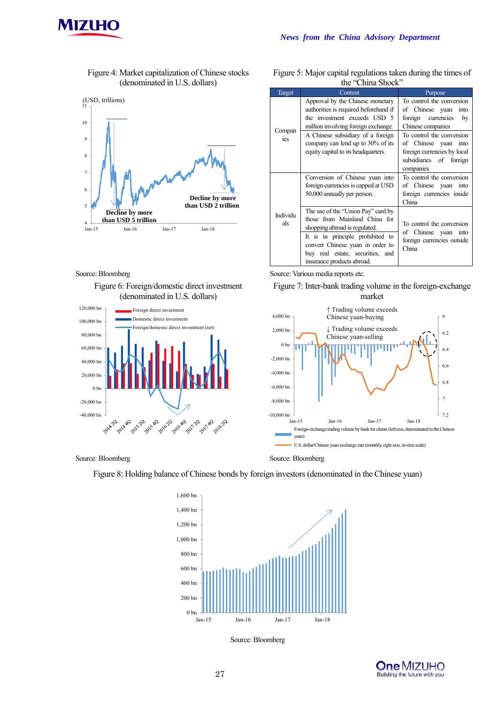

Figure 4: Market capitalization of Chinese stocks (denominated in U.S. dollars)



#### Source: Bloomberg Source: Various media reports etc.

Figure 6: Foreign/domestic direct investment (denominated in U.S. dollars)



Source: Bloomberg Source: Bloomberg Source: Bloomberg

Figure 8: Holding balance of Chinese bonds by foreign investors (denominated in the Chinese yuan)



Source: Bloomberg

| <b>One MIZUHO</b>            |
|------------------------------|
|                              |
| Building the future with you |

| Target          | Content                                                                                                                                                                                                                                        | Purpose                                                                                                                  |
|-----------------|------------------------------------------------------------------------------------------------------------------------------------------------------------------------------------------------------------------------------------------------|--------------------------------------------------------------------------------------------------------------------------|
|                 | Approval by the Chinese monetary<br>authorities is required beforehand if<br>the investment exceeds USD 5<br>million involving foreign exchange.                                                                                               | To control the conversion<br>of Chinese yuan<br>into<br>foreign currencies<br>by<br>Chinese companies                    |
| Compan<br>ies   | A Chinese subsidiary of a foreign<br>company can lend up to 30% of its<br>equity capital to its headquarters.                                                                                                                                  | To control the conversion<br>of Chinese yuan into<br>foreign currencies by local<br>subsidiaries of foreign<br>companies |
|                 | Conversion of Chinese yuan into<br>foreign currencies is capped at USD<br>50,000 annually per person.                                                                                                                                          | To control the conversion<br>of Chinese yuan into<br>foreign currencies inside<br>China                                  |
| Individu<br>als | The use of the "Union Pay" card by<br>those from Mainland China for<br>shopping abroad is regulated.<br>It is in principle prohibited to<br>convert Chinese yuan in order to<br>buy real estate, securities, and<br>insurance products abroad. | To control the conversion<br>of Chinese yuan<br>into<br>foreign currencies outside<br>China                              |

Figure 5: Major capital regulations taken during the times of the "China Shock"



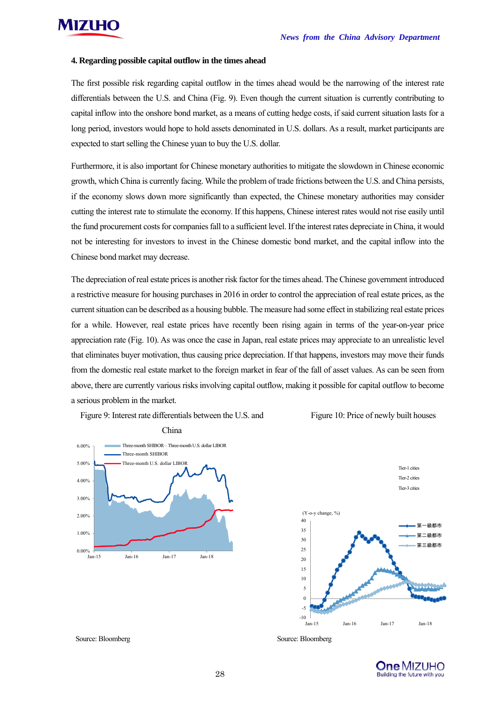

#### **4. Regarding possible capital outflow in the times ahead**

The first possible risk regarding capital outflow in the times ahead would be the narrowing of the interest rate differentials between the U.S. and China (Fig. 9). Even though the current situation is currently contributing to capital inflow into the onshore bond market, as a means of cutting hedge costs, if said current situation lasts for a long period, investors would hope to hold assets denominated in U.S. dollars. As a result, market participants are expected to start selling the Chinese yuan to buy the U.S. dollar.

Furthermore, it is also important for Chinese monetary authorities to mitigate the slowdown in Chinese economic growth, which China is currently facing. While the problem of trade frictions between the U.S. and China persists, if the economy slows down more significantly than expected, the Chinese monetary authorities may consider cutting the interest rate to stimulate the economy. If this happens, Chinese interest rates would not rise easily until the fund procurement costs for companies fall to a sufficient level. If the interest rates depreciate in China, it would not be interesting for investors to invest in the Chinese domestic bond market, and the capital inflow into the Chinese bond market may decrease.

The depreciation of real estate prices is another risk factor for the times ahead. The Chinese government introduced a restrictive measure for housing purchases in 2016 in order to control the appreciation of real estate prices, as the current situation can be described as a housing bubble. The measure had some effect in stabilizing real estate prices for a while. However, real estate prices have recently been rising again in terms of the year-on-year price appreciation rate (Fig. 10). As was once the case in Japan, real estate prices may appreciate to an unrealistic level that eliminates buyer motivation, thus causing price depreciation. If that happens, investors may move their funds from the domestic real estate market to the foreign market in fear of the fall of asset values. As can be seen from above, there are currently various risks involving capital outflow, making it possible for capital outflow to become a serious problem in the market.

Figure 9: Interest rate differentials between the U.S. and







Source: Bloomberg Source: Bloomberg Source: Bloomberg